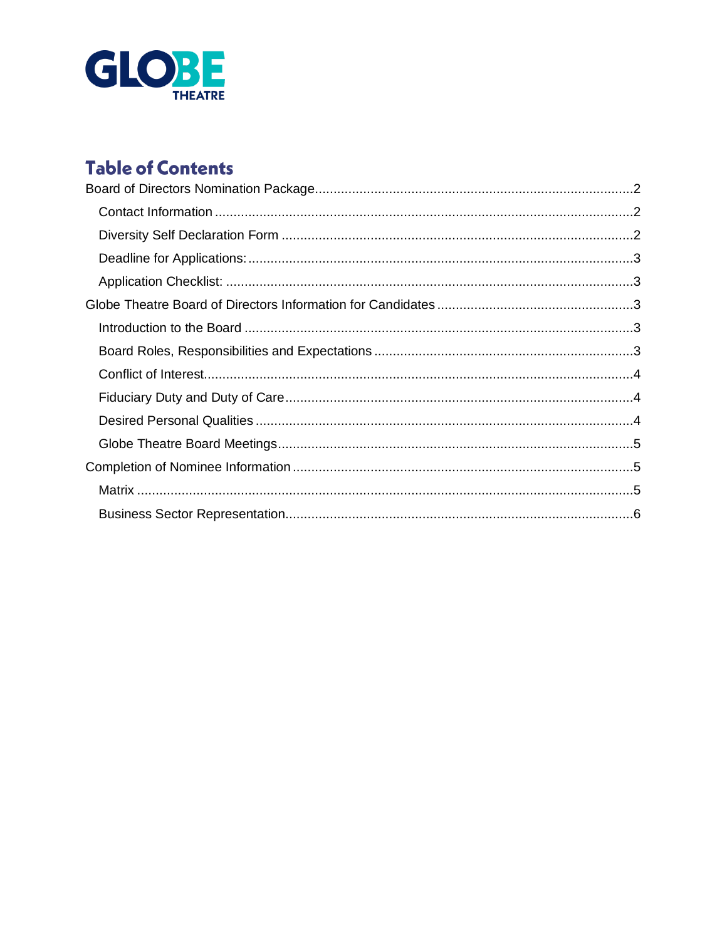

# **Table of Contents**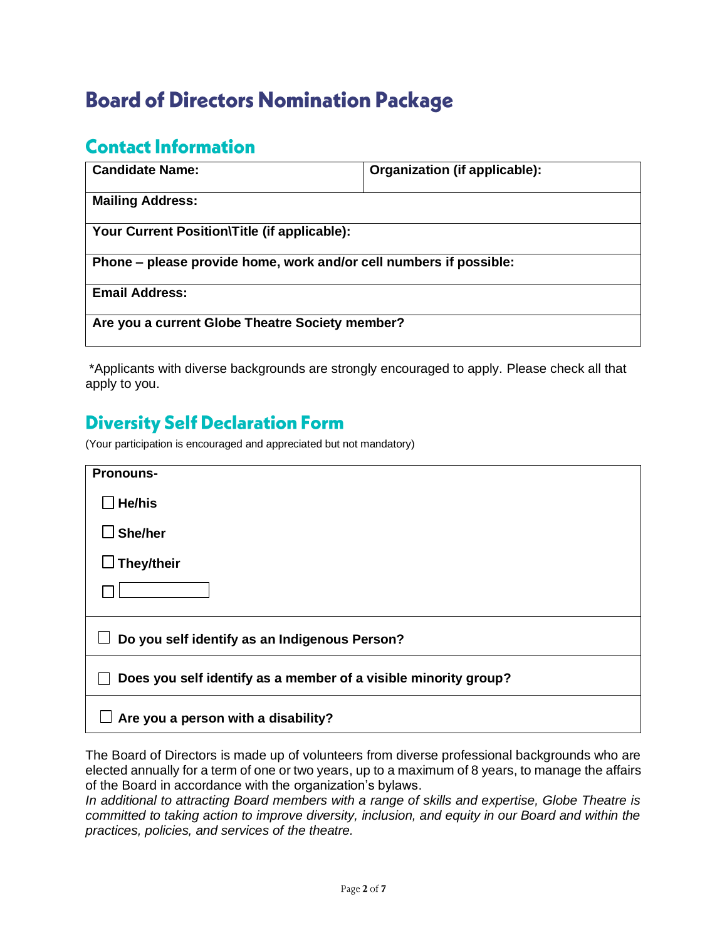# <span id="page-1-0"></span>**Board of Directors Nomination Package**

### <span id="page-1-1"></span>**Contact Information**

| <b>Candidate Name:</b>                                             | Organization (if applicable): |  |  |  |
|--------------------------------------------------------------------|-------------------------------|--|--|--|
| <b>Mailing Address:</b>                                            |                               |  |  |  |
| Your Current Position\Title (if applicable):                       |                               |  |  |  |
| Phone – please provide home, work and/or cell numbers if possible: |                               |  |  |  |
| <b>Email Address:</b>                                              |                               |  |  |  |
| Are you a current Globe Theatre Society member?                    |                               |  |  |  |

\*Applicants with diverse backgrounds are strongly encouraged to apply. Please check all that apply to you.

### <span id="page-1-2"></span>**Diversity Self Declaration Form**

(Your participation is encouraged and appreciated but not mandatory)

| <b>Pronouns-</b>                                                |  |  |
|-----------------------------------------------------------------|--|--|
| He/his                                                          |  |  |
| She/her                                                         |  |  |
| They/their                                                      |  |  |
|                                                                 |  |  |
| Do you self identify as an Indigenous Person?                   |  |  |
| Does you self identify as a member of a visible minority group? |  |  |
| Are you a person with a disability?                             |  |  |

The Board of Directors is made up of volunteers from diverse professional backgrounds who are elected annually for a term of one or two years, up to a maximum of 8 years, to manage the affairs of the Board in accordance with the organization's bylaws.

*In additional to attracting Board members with a range of skills and expertise, Globe Theatre is committed to taking action to improve diversity, inclusion, and equity in our Board and within the practices, policies, and services of the theatre.*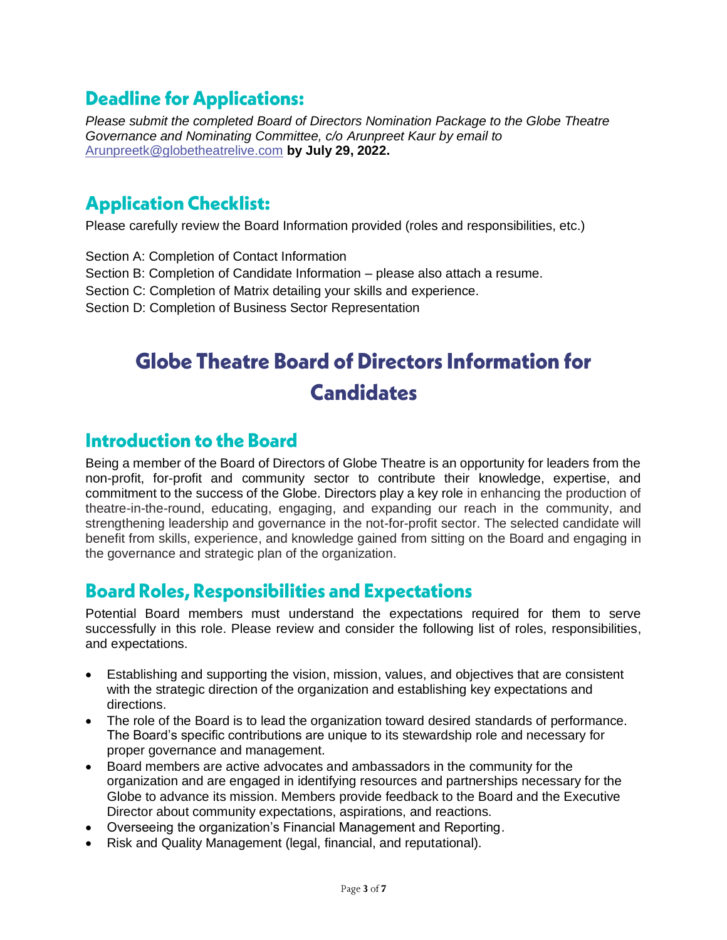### <span id="page-2-0"></span>**Deadline for Applications:**

*Please submit the completed Board of Directors Nomination Package to the Globe Theatre Governance and Nominating Committee, c/o Arunpreet Kaur by email to* [Arunpreetk@globetheatrelive.com](mailto:Arunpreetk@globetheatrelive.com) **by July 29, 2022.**

### <span id="page-2-1"></span>**Application Checklist:**

Please carefully review the Board Information provided (roles and responsibilities, etc.)

Section A: Completion of Contact Information Section B: Completion of Candidate Information – please also attach a resume. Section C: Completion of Matrix detailing your skills and experience. Section D: Completion of Business Sector Representation

# <span id="page-2-2"></span>Globe Theatre Board of Directors Information for **Candidates**

#### <span id="page-2-3"></span>**Introduction to the Board**

Being a member of the Board of Directors of Globe Theatre is an opportunity for leaders from the non-profit, for-profit and community sector to contribute their knowledge, expertise, and commitment to the success of the Globe. Directors play a key role in enhancing the production of theatre-in-the-round, educating, engaging, and expanding our reach in the community, and strengthening leadership and governance in the not-for-profit sector. The selected candidate will benefit from skills, experience, and knowledge gained from sitting on the Board and engaging in the governance and strategic plan of the organization.

#### <span id="page-2-4"></span>**Board Roles, Responsibilities and Expectations**

Potential Board members must understand the expectations required for them to serve successfully in this role. Please review and consider the following list of roles, responsibilities, and expectations.

- Establishing and supporting the vision, mission, values, and objectives that are consistent with the strategic direction of the organization and establishing key expectations and directions.
- The role of the Board is to lead the organization toward desired standards of performance. The Board's specific contributions are unique to its stewardship role and necessary for proper governance and management.
- Board members are active advocates and ambassadors in the community for the organization and are engaged in identifying resources and partnerships necessary for the Globe to advance its mission. Members provide feedback to the Board and the Executive Director about community expectations, aspirations, and reactions.
- Overseeing the organization's Financial Management and Reporting.
- Risk and Quality Management (legal, financial, and reputational).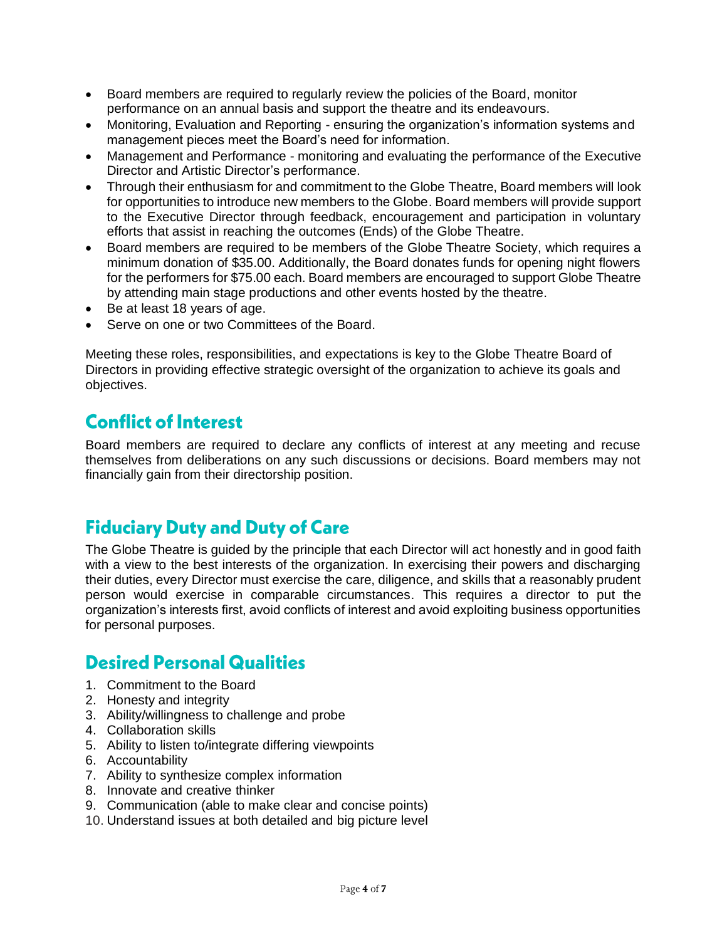- Board members are required to regularly review the policies of the Board, monitor performance on an annual basis and support the theatre and its endeavours.
- Monitoring, Evaluation and Reporting ensuring the organization's information systems and management pieces meet the Board's need for information.
- Management and Performance monitoring and evaluating the performance of the Executive Director and Artistic Director's performance.
- Through their enthusiasm for and commitment to the Globe Theatre, Board members will look for opportunities to introduce new members to the Globe. Board members will provide support to the Executive Director through feedback, encouragement and participation in voluntary efforts that assist in reaching the outcomes (Ends) of the Globe Theatre.
- Board members are required to be members of the Globe Theatre Society, which requires a minimum donation of \$35.00. Additionally, the Board donates funds for opening night flowers for the performers for \$75.00 each. Board members are encouraged to support Globe Theatre by attending main stage productions and other events hosted by the theatre.
- Be at least 18 years of age.
- Serve on one or two Committees of the Board.

Meeting these roles, responsibilities, and expectations is key to the Globe Theatre Board of Directors in providing effective strategic oversight of the organization to achieve its goals and objectives.

### <span id="page-3-0"></span>**Conflict of Interest**

Board members are required to declare any conflicts of interest at any meeting and recuse themselves from deliberations on any such discussions or decisions. Board members may not financially gain from their directorship position.

#### <span id="page-3-1"></span>**Fiduciary Duty and Duty of Care**

The Globe Theatre is guided by the principle that each Director will act honestly and in good faith with a view to the best interests of the organization. In exercising their powers and discharging their duties, every Director must exercise the care, diligence, and skills that a reasonably prudent person would exercise in comparable circumstances. This requires a director to put the organization's interests first, avoid conflicts of interest and avoid exploiting business opportunities for personal purposes.

### <span id="page-3-2"></span>**Desired Personal Qualities**

- 1. Commitment to the Board
- 2. Honesty and integrity
- 3. Ability/willingness to challenge and probe
- 4. Collaboration skills
- 5. Ability to listen to/integrate differing viewpoints
- 6. Accountability
- 7. Ability to synthesize complex information
- 8. Innovate and creative thinker
- 9. Communication (able to make clear and concise points)
- 10. Understand issues at both detailed and big picture level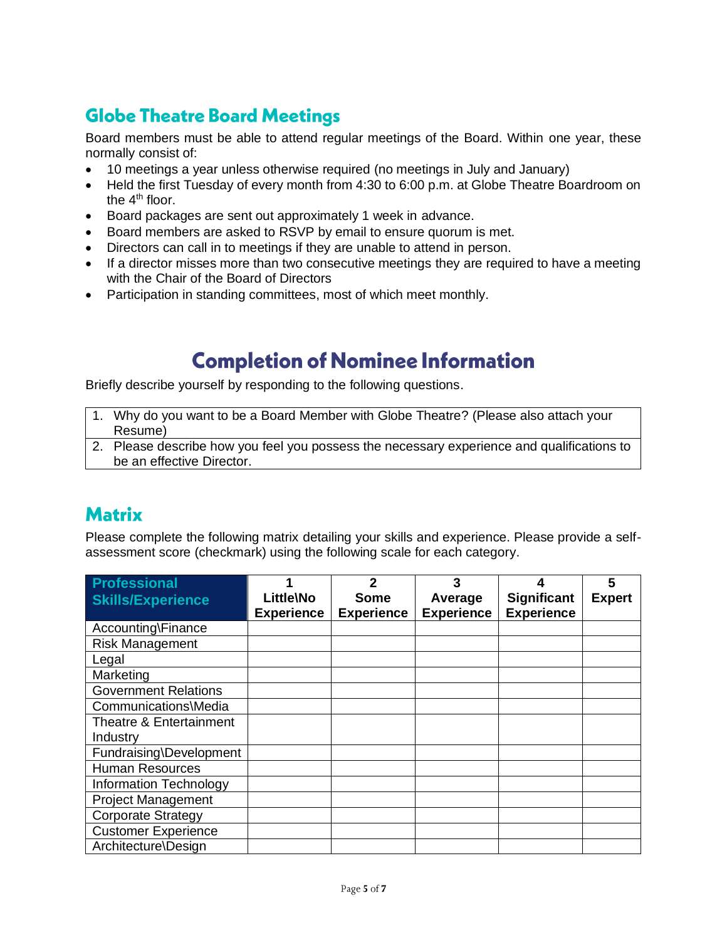## <span id="page-4-0"></span>**Globe Theatre Board Meetings**

Board members must be able to attend regular meetings of the Board. Within one year, these normally consist of:

- 10 meetings a year unless otherwise required (no meetings in July and January)
- Held the first Tuesday of every month from 4:30 to 6:00 p.m. at Globe Theatre Boardroom on the 4<sup>th</sup> floor.
- Board packages are sent out approximately 1 week in advance.
- Board members are asked to RSVP by email to ensure quorum is met.
- Directors can call in to meetings if they are unable to attend in person.
- If a director misses more than two consecutive meetings they are required to have a meeting with the Chair of the Board of Directors
- <span id="page-4-1"></span>• Participation in standing committees, most of which meet monthly.

# **Completion of Nominee Information**

Briefly describe yourself by responding to the following questions.

- 1. Why do you want to be a Board Member with Globe Theatre? (Please also attach your Resume)
- 2. Please describe how you feel you possess the necessary experience and qualifications to be an effective Director.

#### <span id="page-4-2"></span>**Matrix**

Please complete the following matrix detailing your skills and experience. Please provide a selfassessment score (checkmark) using the following scale for each category.

| <b>Professional</b>         |                   | $\mathbf{2}$      | 3                 |                    | 5             |
|-----------------------------|-------------------|-------------------|-------------------|--------------------|---------------|
| <b>Skills/Experience</b>    | Little\No         | <b>Some</b>       | Average           | <b>Significant</b> | <b>Expert</b> |
|                             | <b>Experience</b> | <b>Experience</b> | <b>Experience</b> | <b>Experience</b>  |               |
| Accounting\Finance          |                   |                   |                   |                    |               |
| <b>Risk Management</b>      |                   |                   |                   |                    |               |
| Legal                       |                   |                   |                   |                    |               |
| Marketing                   |                   |                   |                   |                    |               |
| <b>Government Relations</b> |                   |                   |                   |                    |               |
| Communications\Media        |                   |                   |                   |                    |               |
| Theatre & Entertainment     |                   |                   |                   |                    |               |
| Industry                    |                   |                   |                   |                    |               |
| Fundraising\Development     |                   |                   |                   |                    |               |
| <b>Human Resources</b>      |                   |                   |                   |                    |               |
| Information Technology      |                   |                   |                   |                    |               |
| <b>Project Management</b>   |                   |                   |                   |                    |               |
| <b>Corporate Strategy</b>   |                   |                   |                   |                    |               |
| <b>Customer Experience</b>  |                   |                   |                   |                    |               |
| Architecture\Design         |                   |                   |                   |                    |               |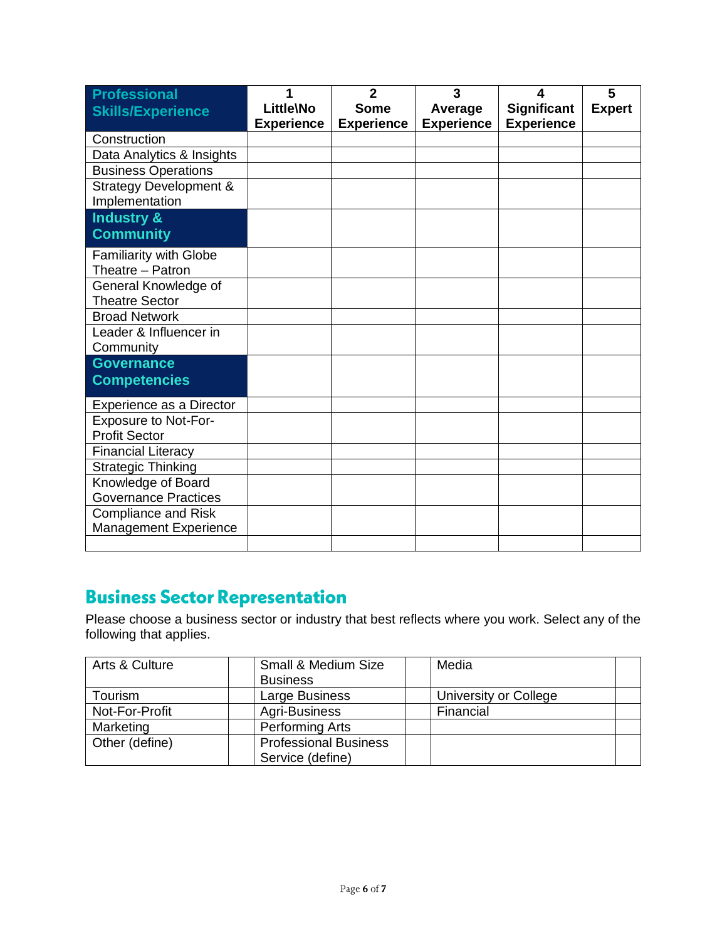| <b>Professional</b><br><b>Skills/Experience</b> | 1<br>Little\No    | $\overline{2}$<br><b>Some</b> | 3<br>Average      | 4<br><b>Significant</b> | 5<br><b>Expert</b> |
|-------------------------------------------------|-------------------|-------------------------------|-------------------|-------------------------|--------------------|
|                                                 | <b>Experience</b> | <b>Experience</b>             | <b>Experience</b> | <b>Experience</b>       |                    |
| Construction                                    |                   |                               |                   |                         |                    |
| Data Analytics & Insights                       |                   |                               |                   |                         |                    |
| <b>Business Operations</b>                      |                   |                               |                   |                         |                    |
| <b>Strategy Development &amp;</b>               |                   |                               |                   |                         |                    |
| Implementation                                  |                   |                               |                   |                         |                    |
| <b>Industry &amp;</b>                           |                   |                               |                   |                         |                    |
| <b>Community</b>                                |                   |                               |                   |                         |                    |
| <b>Familiarity with Globe</b>                   |                   |                               |                   |                         |                    |
| Theatre - Patron                                |                   |                               |                   |                         |                    |
| General Knowledge of                            |                   |                               |                   |                         |                    |
| <b>Theatre Sector</b>                           |                   |                               |                   |                         |                    |
| <b>Broad Network</b>                            |                   |                               |                   |                         |                    |
| Leader & Influencer in                          |                   |                               |                   |                         |                    |
| Community                                       |                   |                               |                   |                         |                    |
| <b>Governance</b>                               |                   |                               |                   |                         |                    |
| <b>Competencies</b>                             |                   |                               |                   |                         |                    |
| Experience as a Director                        |                   |                               |                   |                         |                    |
| <b>Exposure to Not-For-</b>                     |                   |                               |                   |                         |                    |
| <b>Profit Sector</b>                            |                   |                               |                   |                         |                    |
| <b>Financial Literacy</b>                       |                   |                               |                   |                         |                    |
| <b>Strategic Thinking</b>                       |                   |                               |                   |                         |                    |
| Knowledge of Board                              |                   |                               |                   |                         |                    |
| <b>Governance Practices</b>                     |                   |                               |                   |                         |                    |
| <b>Compliance and Risk</b>                      |                   |                               |                   |                         |                    |
| Management Experience                           |                   |                               |                   |                         |                    |
|                                                 |                   |                               |                   |                         |                    |

## <span id="page-5-0"></span>**Business Sector Representation**

Please choose a business sector or industry that best reflects where you work. Select any of the following that applies.

| Arts & Culture | Small & Medium Size          | Media                 |
|----------------|------------------------------|-----------------------|
|                | <b>Business</b>              |                       |
| Tourism        | Large Business               | University or College |
| Not-For-Profit | Agri-Business                | Financial             |
| Marketing      | <b>Performing Arts</b>       |                       |
| Other (define) | <b>Professional Business</b> |                       |
|                | Service (define)             |                       |